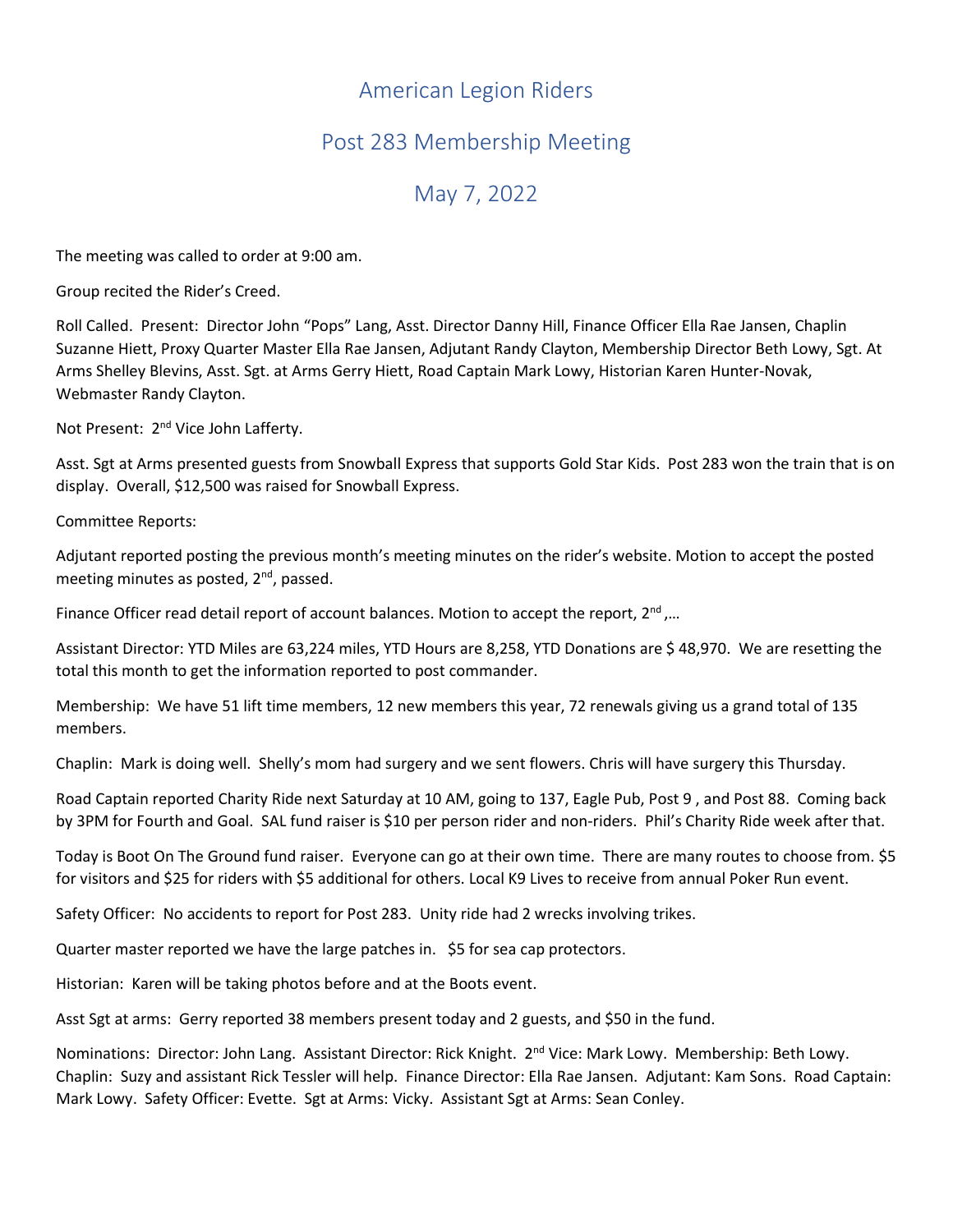## American Legion Riders

## Post 283 Membership Meeting

## May 7, 2022

The meeting was called to order at 9:00 am.

Group recited the Rider's Creed.

Roll Called. Present: Director John "Pops" Lang, Asst. Director Danny Hill, Finance Officer Ella Rae Jansen, Chaplin Suzanne Hiett, Proxy Quarter Master Ella Rae Jansen, Adjutant Randy Clayton, Membership Director Beth Lowy, Sgt. At Arms Shelley Blevins, Asst. Sgt. at Arms Gerry Hiett, Road Captain Mark Lowy, Historian Karen Hunter-Novak, Webmaster Randy Clayton.

Not Present: 2nd Vice John Lafferty.

Asst. Sgt at Arms presented guests from Snowball Express that supports Gold Star Kids. Post 283 won the train that is on display. Overall, \$12,500 was raised for Snowball Express.

Committee Reports:

Adjutant reported posting the previous month's meeting minutes on the rider's website. Motion to accept the posted meeting minutes as posted,  $2^{nd}$ , passed.

Finance Officer read detail report of account balances. Motion to accept the report, 2<sup>nd</sup>,...

Assistant Director: YTD Miles are 63,224 miles, YTD Hours are 8,258, YTD Donations are \$ 48,970. We are resetting the total this month to get the information reported to post commander.

Membership: We have 51 lift time members, 12 new members this year, 72 renewals giving us a grand total of 135 members.

Chaplin: Mark is doing well. Shelly's mom had surgery and we sent flowers. Chris will have surgery this Thursday.

Road Captain reported Charity Ride next Saturday at 10 AM, going to 137, Eagle Pub, Post 9 , and Post 88. Coming back by 3PM for Fourth and Goal. SAL fund raiser is \$10 per person rider and non-riders. Phil's Charity Ride week after that.

Today is Boot On The Ground fund raiser. Everyone can go at their own time. There are many routes to choose from. \$5 for visitors and \$25 for riders with \$5 additional for others. Local K9 Lives to receive from annual Poker Run event.

Safety Officer: No accidents to report for Post 283. Unity ride had 2 wrecks involving trikes.

Quarter master reported we have the large patches in. \$5 for sea cap protectors.

Historian: Karen will be taking photos before and at the Boots event.

Asst Sgt at arms: Gerry reported 38 members present today and 2 guests, and \$50 in the fund.

Nominations: Director: John Lang. Assistant Director: Rick Knight. 2nd Vice: Mark Lowy. Membership: Beth Lowy. Chaplin: Suzy and assistant Rick Tessler will help. Finance Director: Ella Rae Jansen. Adjutant: Kam Sons. Road Captain: Mark Lowy. Safety Officer: Evette. Sgt at Arms: Vicky. Assistant Sgt at Arms: Sean Conley.